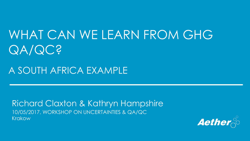# WHAT CAN WE LEARN FROM GHG QA/QC?

### A SOUTH AFRICA EXAMPLE

Richard Claxton & Kathryn Hampshire 10/05/2017, WORKSHOP ON UNCERTAINTIES & QA/QC Krakow

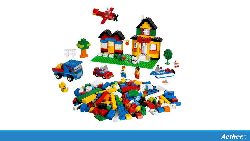

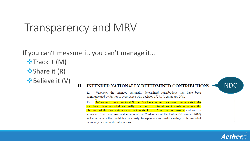## Transparency and MRV

If you can't measure it, you can't manage it… ❖Track it (M) **❖Share it (R)** 

### $\triangle$ Believe it  $(V)$  II. INTENDED NATIONALLY DETERMINED CONTRIBUTIONS  $\triangle$  NDC

Welcomes the intended nationally determined contributions that have been 12. communicated by Parties in accordance with decision 1/CP.19, paragraph 2(b);

13. Reiterates its invitation to all Parties that have not yet done so to communicate to the secretariat their intended nationally determined contributions towards achieving the objective of the Convention as set out in its Article 2 as soon as possible and well in advance of the twenty-second session of the Conference of the Parties (November 2016) and in a manner that facilitates the clarity, transparency and understanding of the intended nationally determined contributions;



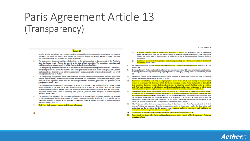## Paris Agreement Article 13 (Transparency)

#### FCCC/CP/2015/L.9

#### Article 13

- 1. In order to build mutual trust and confidence and to promote effective implementation, an enhanced transparency framework for action and support, with built-in flexibility which takes into account Parties' different capacities and builds upon collective experience is hereby established.
- 2. The transparency framework shall provide flexibility in the implementation of the provisions of this Article to those developing country Parties that need it in the light of their capacities. The modalities, procedures and guidelines referred to in paragraph 13 of this Article shall reflect such flexibility.
- 3. The transparency framework shall build on and enhance the transparency arrangements under the Convention, recognizing the special circumstances of the least developed countries and small island developing States, and be implemented in a facilitative, non-intrusive, non-punitive manner, respectful of national sovereignty, and avoid placing undue burden on Parties.
- 4. The transparency arrangements under the Convention, including national communications, biennial reports and biennial update reports, international assessment and review and international consultation and analysis, shall form part of the experience drawn upon for the development of the modalities, procedures and guidelines under paragraph 13 of this Article.
- 5. The purpose of the framework for transparency of action is to provide a clear understanding of climate change action in the light of the objective of the Convention as set out in its Article 2, including clarity and tracking of progress towards achieving Parties' individual nationally determined contributions under Article 4, and Parties' adaptation actions under Article 7, including good practices, priorities, needs and gaps, to inform the global stocktake under Article 14.
- 6. The purpose of the framework for transparency of support is to provide clarity on support provided and received by relevant individual Parties in the context of climate change actions under Articles 4, 7, 9, 10 and 11, and, to the extent possible, to provide a full overview of aggregate financial support provided, to inform the global stocktake under Article 14.
- 7. Each Party shall regularly provide the following information:
- $28$
- (a) A national inventory report of anthropogenic emissions by sources and removals by sinks of greenhouse gases, prepared using good practice methodologies accepted by the Intergovernmental Panel on Climate Change and agreed upon by the Conference of the Parties serving as the meeting of the Parties to the Paris Agreement:
- Information necessary to track progress made in implementing and achieving its nationally determined ሔነ contribution under Article 4.
- Each Party should also provide information related to climate change impacts and adaptation under Article 7, as 8. appropriate.
- Developed country Parties shall, and other Parties that provide support should, provide information on financial, 9. technology transfer and capacity-building support provided to developing country Parties under Article 9, 10 and  $11$
- 10. Developing country Parties should provide information on financial, technology transfer and capacity-building support needed and received under Articles 9, 10 and 11.
- $11$ Information submitted by each Party under paragraphs 7 and 9 of this Article shall undergo a technical expert periew in accordance with decision UCP 21. For those developing country Parties that need it in the light of their capacities, the review process shall include assistance in identifying capacity-building needs. In addition, each Party shall participate in a facilitative, multilateral consideration of progress with respect to efforts under Article 9, and its respective implementation and achievement of its nationally determined contribution.
- The technical expert review under this paragraph shall consist of a consideration of the Party's support provided.  $12<sub>12</sub>$ as relevant, and its implementation and achievement of its nationally determined contribution. The review shall also identify areas of improvement for the Party, and include a review of the consistency of the information with the modalities, procedures and guidelines referred to in paragraph 13 of this Article, taking into account the flexibility accorded to the Party under paragraph 2 of this Article. The review shall pay particular attention to the respective national capabilities and circumstances of developing country Parties.
- 13. The Conference of the Parties serving as the meeting of the Parties to the Paris Agreement shall, at its first session, building on experience from the arrangements related to transparency under the Convention, and elaborating on the provisions in this Article, adopt common modalities, procedures and guidelines, as appropriate, for the transparency of action and support.
- 14. Support shall be provided to developing countries for the implementation of this Article.
- 15. Support shall also be provided for the building of transparency-related capacity of developing country Parties on a continuous basis.

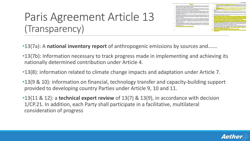

#### •13(7a): A **national inventory report** of anthropogenic emissions by sources and…….

(Transparency)

- •13(7b): Information necessary to track progress made in implementing and achieving its nationally determined contribution under Article 4.
- •13(8): information related to climate change impacts and adaptation under Article 7.
- •13(9 & 10): information on financial, technology transfer and capacity-building support provided to developing country Parties under Article 9, 10 and 11.
- •13(11 & 12): a **technical expert review** of 13(7) & 13(9), in accordance with decision 1/CP.21. In addition, each Party shall participate in a facilitative, multilateral consideration of progress

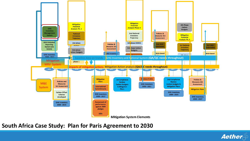

**South Africa Case Study: Plan for Paris Agreement to 2030**

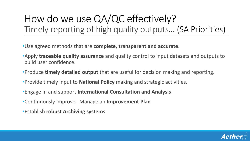### How do we use QA/QC effectively? Timely reporting of high quality outputs… (SA Priorities)

- •Use agreed methods that are **complete, transparent and accurate**.
- •Apply **traceable quality assurance** and quality control to input datasets and outputs to build user confidence.
- •Produce **timely detailed output** that are useful for decision making and reporting.
- •Provide timely input to **National Policy** making and strategic activities.
- •Engage in and support **International Consultation and Analysis**
- •Continuously improve. Manage an **Improvement Plan**
- •Establish **robust Archiving systems**

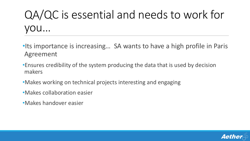# QA/QC is essential and needs to work for you…

- •Its importance is increasing... SA wants to have a high profile in Paris Agreement
- •Ensures credibility of the system producing the data that is used by decision makers
- •Makes working on technical projects interesting and engaging
- •Makes collaboration easier
- •Makes handover easier

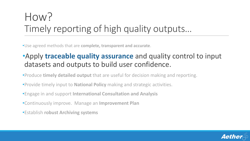# How? Timely reporting of high quality outputs…

•Use agreed methods that are **complete, transparent and accurate**.

### •Apply **traceable quality assurance** and quality control to input datasets and outputs to build user confidence.

- •Produce **timely detailed output** that are useful for decision making and reporting.
- •Provide timely input to **National Policy** making and strategic activities.
- •Engage in and support **International Consultation and Analysis**
- •Continuously improve. Manage an **Improvement Plan**
- •Establish **robust Archiving systems**

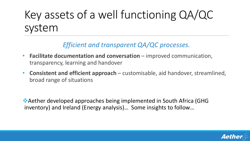# Key assets of a well functioning QA/QC system

#### *Efficient and transparent QA/QC processes.*

- **Facilitate documentation and conversation**  improved communication, transparency, learning and handover
- **Consistent and efficient approach**  customisable, aid handover, streamlined, broad range of situations

❖Aether developed approaches being implemented in South Africa (GHG inventory) and Ireland (Energy analysis)… Some insights to follow…

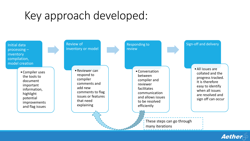# Key approach developed:



These steps can go through many iterations

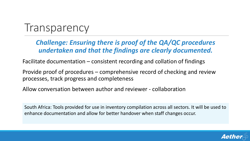## Transparency

*Challenge: Ensuring there is proof of the QA/QC procedures undertaken and that the findings are clearly documented.* 

Facilitate documentation – consistent recording and collation of findings

Provide proof of procedures – comprehensive record of checking and review processes, track progress and completeness

Allow conversation between author and reviewer - collaboration

South Africa: Tools provided for use in inventory compilation across all sectors. It will be used to enhance documentation and allow for better handover when staff changes occur.

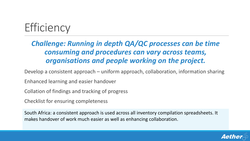# **Efficiency**

### *Challenge: Running in depth QA/QC processes can be time consuming and procedures can vary across teams, organisations and people working on the project.*

Develop a consistent approach – uniform approach, collaboration, information sharing

Enhanced learning and easier handover

Collation of findings and tracking of progress

Checklist for ensuring completeness

South Africa: a consistent approach is used across all inventory compilation spreadsheets. It makes handover of work much easier as well as enhancing collaboration.

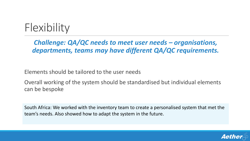

#### *Challenge: QA/QC needs to meet user needs – organisations, departments, teams may have different QA/QC requirements.*

Elements should be tailored to the user needs

Overall working of the system should be standardised but individual elements can be bespoke

South Africa: We worked with the inventory team to create a personalised system that met the team's needs. Also showed how to adapt the system in the future.